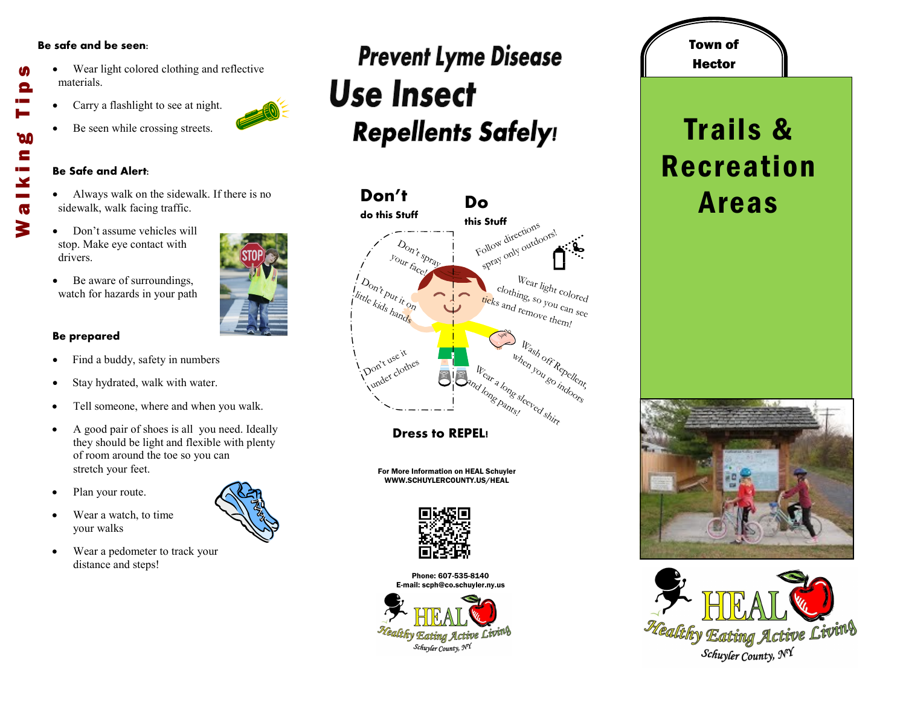#### **Be safe and be seen:**

M

Θ

**DO** E

 $\mathbf{x}$  $\overline{\mathbf{G}}$ 3

- Wear light colored clothing and reflective materials. Walking Tips
	- Carry a flashlight to see at night.
	- Be seen while crossing streets.

#### **Be Safe and Alert:**

- Always walk on the sidewalk. If there is no sidewalk, walk facing traffic.
- Don't assume vehicles will stop. Make eye contact with drivers.
- Be aware of surroundings, watch for hazards in your path

### **Be prepared**

- Find a buddy, safety in numbers
- Stay hydrated, walk with water.
- Tell someone, where and when you walk.
- A good pair of shoes is all you need. Ideally they should be light and flexible with plenty of room around the toe so you can stretch your feet.
- Plan your route.
- Wear a watch, to time your walks
- Wear a pedometer to track your distance and steps!

### **Prevent Lyme Disease Use Insect Repellents Safely!**



**Dress to REPEL!**

For More Information on HEAL Schuyler WWW.SCHUYLERCOUNTY.US/HEAL



Phone: 607-535-8140 E-mail: scph@co.schuyler.ny.us



## **Hector** Trails & Recreation Areas

Town of